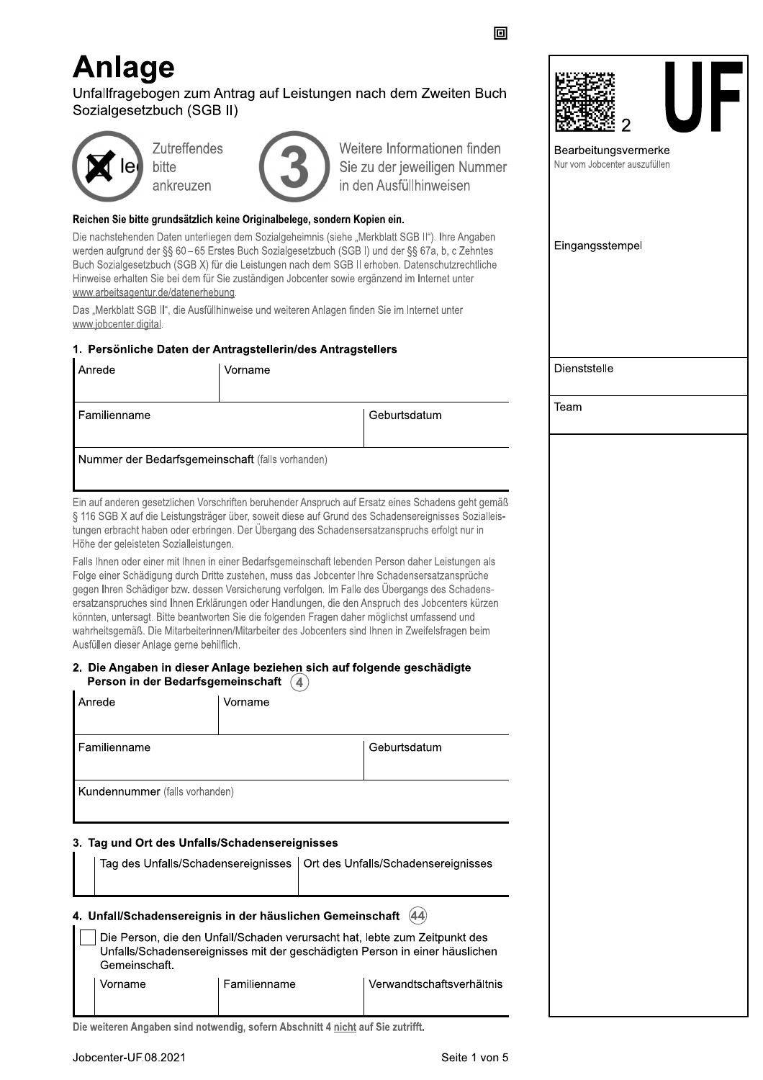# **Anlage**

Unfallfragebogen zum Antrag auf Leistungen nach dem Zweiten Buch Sozialgesetzbuch (SGB II)



**Zutreffendes** bitte ankreuzen



Weitere Informationen finden Sie zu der jeweiligen Nummer in den Ausfüllhinweisen

回

#### Reichen Sie bitte grundsätzlich keine Originalbelege, sondern Kopien ein.

Die nachstehenden Daten unterliegen dem Sozialgeheimnis (siehe "Merkblatt SGB II"). Ihre Angaben werden aufgrund der §§ 60-65 Erstes Buch Sozialgesetzbuch (SGB I) und der §§ 67a, b, c Zehntes Buch Sozialgesetzbuch (SGB X) für die Leistungen nach dem SGB II erhoben. Datenschutzrechtliche Hinweise erhalten Sie bei dem für Sie zuständigen Jobcenter sowie ergänzend im Internet unter www.arbeitsagentur.de/datenerhebung.

Das "Merkblatt SGB II", die Ausfüllhinweise und weiteren Anlagen finden Sie im Internet unter www.jobcenter.digital.

### 1. Persönliche Daten der Antragstellerin/des Antragstellers

| Anrede       | Vorname                                          |                                                                                                    |  |
|--------------|--------------------------------------------------|----------------------------------------------------------------------------------------------------|--|
|              |                                                  |                                                                                                    |  |
| Familienname |                                                  | Geburtsdatum                                                                                       |  |
|              | Nummer der Bedarfsgemeinschaft (falls vorhanden) |                                                                                                    |  |
|              |                                                  |                                                                                                    |  |
|              |                                                  | Ein auf anderen gesetzlichen Vorschriften beruhender Anspruch auf Ersatz eines Schadens geht gemäß |  |

§ 116 SGB X auf die Leistungsträger über, soweit diese auf Grund des Schadensereignisses Sozialleistungen erbracht haben oder erbringen. Der Übergang des Schadensersatzanspruchs erfolgt nur in Höhe der geleisteten Sozialleistungen.

Falls Ihnen oder einer mit Ihnen in einer Bedarfsgemeinschaft lebenden Person daher Leistungen als Folge einer Schädigung durch Dritte zustehen, muss das Jobcenter Ihre Schadensersatzansprüche gegen Ihren Schädiger bzw. dessen Versicherung verfolgen. Im Falle des Übergangs des Schadensersatzanspruches sind Ihnen Erklärungen oder Handlungen, die den Anspruch des Jobcenters kürzen könnten, untersagt. Bitte beantworten Sie die folgenden Fragen daher möglichst umfassend und wahrheitsgemäß. Die Mitarbeiterinnen/Mitarbeiter des Jobcenters sind Ihnen in Zweifelsfragen beim Ausfüllen dieser Anlage gerne behilflich.

#### 2. Die Angaben in dieser Anlage beziehen sich auf folgende geschädigte Person in der Bedarfsgemeinschaft (4)

|                                                                   | Anrede                                                                                                                                                                     | Vorname                                   |  |  |  |  |  |
|-------------------------------------------------------------------|----------------------------------------------------------------------------------------------------------------------------------------------------------------------------|-------------------------------------------|--|--|--|--|--|
|                                                                   | Familienname<br>Geburtsdatum                                                                                                                                               |                                           |  |  |  |  |  |
|                                                                   | <b>Kundennummer</b> (falls vorhanden)                                                                                                                                      |                                           |  |  |  |  |  |
|                                                                   | 3. Tag und Ort des Unfalls/Schadensereignisses<br>Tag des Unfalls/Schadensereignisses   Ort des Unfalls/Schadensereignisses                                                |                                           |  |  |  |  |  |
| 4. Unfall/Schadensereignis in der häuslichen Gemeinschaft<br>(44) |                                                                                                                                                                            |                                           |  |  |  |  |  |
|                                                                   | Die Person, die den Unfall/Schaden verursacht hat, lebte zum Zeitpunkt des<br>Unfalls/Schadensereignisses mit der geschädigten Person in einer häuslichen<br>Gemeinschaft. |                                           |  |  |  |  |  |
|                                                                   | Vorname                                                                                                                                                                    | Familienname<br>Verwandtschaftsverhältnis |  |  |  |  |  |





Bearbeitungsvermerke Nur vom Jobcenter auszufüllen

Eingangsstempel

Dienststelle

Team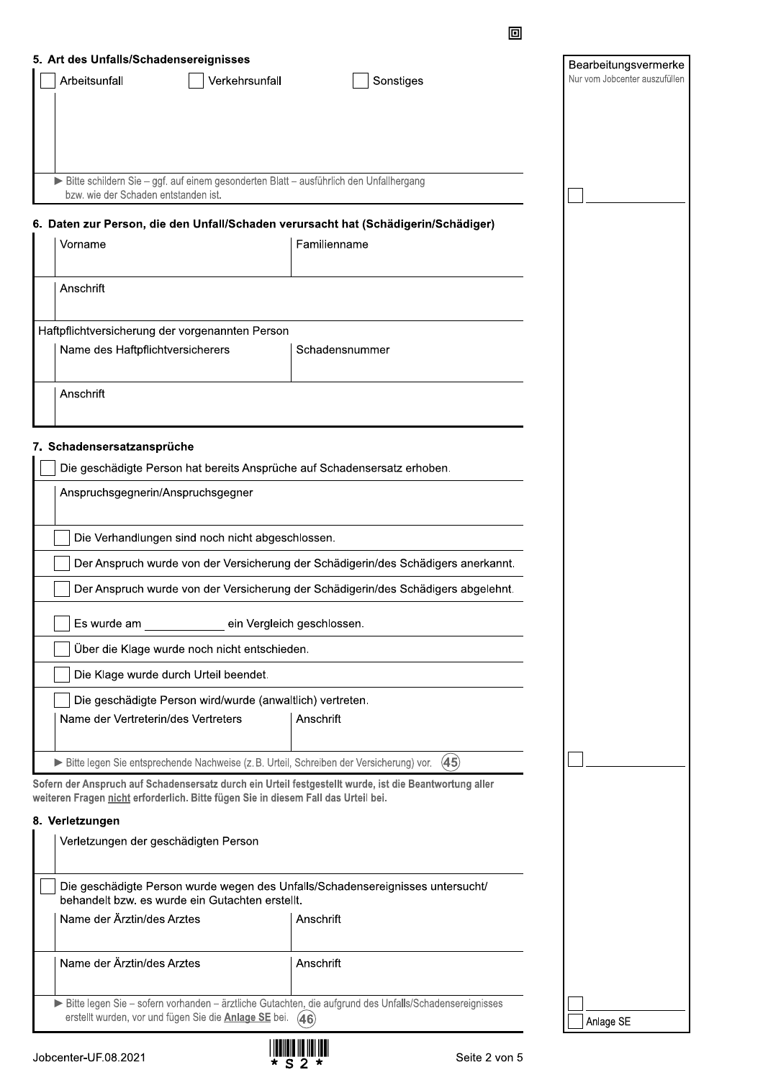| 5. Art des Unfalls/Schadensereignisses                                                                                         |                                                                                                        | Bearbeitungsvermerke          |  |  |  |  |
|--------------------------------------------------------------------------------------------------------------------------------|--------------------------------------------------------------------------------------------------------|-------------------------------|--|--|--|--|
| Arbeitsunfall<br>Verkehrsunfall                                                                                                | Sonstiges                                                                                              | Nur vom Jobcenter auszufüllen |  |  |  |  |
|                                                                                                                                |                                                                                                        |                               |  |  |  |  |
|                                                                                                                                |                                                                                                        |                               |  |  |  |  |
|                                                                                                                                |                                                                                                        |                               |  |  |  |  |
| Bitte schildern Sie - ggf. auf einem gesonderten Blatt - ausführlich den Unfallhergang<br>bzw. wie der Schaden entstanden ist. |                                                                                                        |                               |  |  |  |  |
|                                                                                                                                | 6. Daten zur Person, die den Unfall/Schaden verursacht hat (Schädigerin/Schädiger)                     |                               |  |  |  |  |
| Vorname                                                                                                                        | Familienname                                                                                           |                               |  |  |  |  |
|                                                                                                                                |                                                                                                        |                               |  |  |  |  |
| Anschrift                                                                                                                      |                                                                                                        |                               |  |  |  |  |
| Haftpflichtversicherung der vorgenannten Person                                                                                |                                                                                                        |                               |  |  |  |  |
| Name des Haftpflichtversicherers                                                                                               | Schadensnummer                                                                                         |                               |  |  |  |  |
|                                                                                                                                |                                                                                                        |                               |  |  |  |  |
| Anschrift                                                                                                                      |                                                                                                        |                               |  |  |  |  |
|                                                                                                                                |                                                                                                        |                               |  |  |  |  |
| 7. Schadensersatzansprüche                                                                                                     |                                                                                                        |                               |  |  |  |  |
| Die geschädigte Person hat bereits Ansprüche auf Schadensersatz erhoben.                                                       |                                                                                                        |                               |  |  |  |  |
| Anspruchsgegnerin/Anspruchsgegner                                                                                              |                                                                                                        |                               |  |  |  |  |
|                                                                                                                                |                                                                                                        |                               |  |  |  |  |
|                                                                                                                                | Die Verhandlungen sind noch nicht abgeschlossen.                                                       |                               |  |  |  |  |
| Der Anspruch wurde von der Versicherung der Schädigerin/des Schädigers anerkannt.                                              |                                                                                                        |                               |  |  |  |  |
| Der Anspruch wurde von der Versicherung der Schädigerin/des Schädigers abgelehnt.                                              |                                                                                                        |                               |  |  |  |  |
|                                                                                                                                |                                                                                                        |                               |  |  |  |  |
| Es wurde am                                                                                                                    | ein Vergleich geschlossen.                                                                             |                               |  |  |  |  |
| Über die Klage wurde noch nicht entschieden.                                                                                   |                                                                                                        |                               |  |  |  |  |
| Die Klage wurde durch Urteil beendet.                                                                                          |                                                                                                        |                               |  |  |  |  |
| Die geschädigte Person wird/wurde (anwaltlich) vertreten.                                                                      |                                                                                                        |                               |  |  |  |  |
| Name der Vertreterin/des Vertreters                                                                                            | Anschrift                                                                                              |                               |  |  |  |  |
|                                                                                                                                |                                                                                                        |                               |  |  |  |  |
| Bitte legen Sie entsprechende Nachweise (z. B. Urteil, Schreiben der Versicherung) vor.                                        | (45)                                                                                                   |                               |  |  |  |  |
| weiteren Fragen nicht erforderlich. Bitte fügen Sie in diesem Fall das Urteil bei.                                             | Sofern der Anspruch auf Schadensersatz durch ein Urteil festgestellt wurde, ist die Beantwortung aller |                               |  |  |  |  |
| 8. Verletzungen                                                                                                                |                                                                                                        |                               |  |  |  |  |
| Verletzungen der geschädigten Person                                                                                           |                                                                                                        |                               |  |  |  |  |
|                                                                                                                                |                                                                                                        |                               |  |  |  |  |
| behandelt bzw. es wurde ein Gutachten erstellt.                                                                                | Die geschädigte Person wurde wegen des Unfalls/Schadensereignisses untersucht/                         |                               |  |  |  |  |
| Name der Ärztin/des Arztes                                                                                                     | Anschrift                                                                                              |                               |  |  |  |  |
| Name der Ärztin/des Arztes                                                                                                     | Anschrift                                                                                              |                               |  |  |  |  |
|                                                                                                                                | Bitte legen Sie - sofern vorhanden - ärztliche Gutachten, die aufgrund des Unfalls/Schadensereignisses |                               |  |  |  |  |
| erstellt wurden, vor und fügen Sie die Anlage SE bei. (46)                                                                     |                                                                                                        | Anlage SE                     |  |  |  |  |



回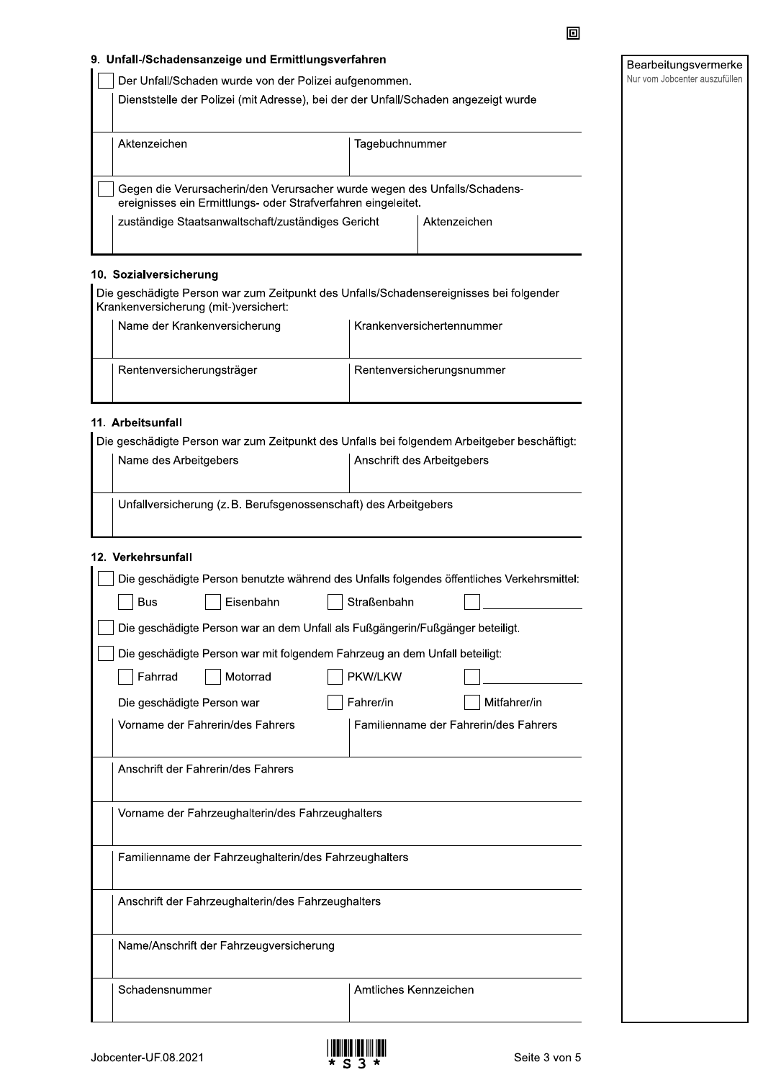#### 9. Unfall-/Schadensanzeige und Ermittlungsverfahren

Dienststelle der Polizei (mit Adresse), bei der der Unfall/Schaden angezeigt wurde

| Aktenzeichen                                                                                                                               | Tagebuchnummer |              |
|--------------------------------------------------------------------------------------------------------------------------------------------|----------------|--------------|
| Gegen die Verursacherin/den Verursacher wurde wegen des Unfalls/Schadens-<br>ereignisses ein Ermittlungs- oder Strafverfahren eingeleitet. |                |              |
| zuständige Staatsanwaltschaft/zuständiges Gericht                                                                                          |                | Aktenzeichen |

## 10. Sozialversicherung

Die geschädigte Person war zum Zeitpunkt des Unfalls/Schadensereignisses bei folgender Krankenversicherung (mit-)versichert:

| Name der Krankenversicherung | Krankenversichertennummer |
|------------------------------|---------------------------|
| Rentenversicherungsträger    | Rentenversicherungsnummer |

#### 11. Arbeitsunfall

Die geschädigte Person war zum Zeitpunkt des Unfalls bei folgendem Arbeitgeber beschäftigt:

| Name des Arbeitgebers                                            | Anschrift des Arbeitgebers |  |
|------------------------------------------------------------------|----------------------------|--|
| Unfallversicherung (z. B. Berufsgenossenschaft) des Arbeitgebers |                            |  |

### 12. Verkehrsunfall

| Die geschädigte Person benutzte während des Unfalls folgendes öffentliches Verkehrsmittel: |                                                                               |  |                       |                                       |  |
|--------------------------------------------------------------------------------------------|-------------------------------------------------------------------------------|--|-----------------------|---------------------------------------|--|
| Bus                                                                                        | Eisenbahn                                                                     |  | Straßenbahn           |                                       |  |
|                                                                                            | Die geschädigte Person war an dem Unfall als Fußgängerin/Fußgänger beteiligt. |  |                       |                                       |  |
| Die geschädigte Person war mit folgendem Fahrzeug an dem Unfall beteiligt:                 |                                                                               |  |                       |                                       |  |
| Fahrrad                                                                                    | Motorrad                                                                      |  | PKW/LKW               |                                       |  |
| Die geschädigte Person war                                                                 |                                                                               |  | Fahrer/in             | Mitfahrer/in                          |  |
|                                                                                            | Vorname der Fahrerin/des Fahrers                                              |  |                       | Familienname der Fahrerin/des Fahrers |  |
|                                                                                            | Anschrift der Fahrerin/des Fahrers                                            |  |                       |                                       |  |
| Vorname der Fahrzeughalterin/des Fahrzeughalters                                           |                                                                               |  |                       |                                       |  |
|                                                                                            | Familienname der Fahrzeughalterin/des Fahrzeughalters                         |  |                       |                                       |  |
| Anschrift der Fahrzeughalterin/des Fahrzeughalters                                         |                                                                               |  |                       |                                       |  |
|                                                                                            | Name/Anschrift der Fahrzeugversicherung                                       |  |                       |                                       |  |
| Schadensnummer                                                                             |                                                                               |  | Amtliches Kennzeichen |                                       |  |



回

Bearbeitungsvermerke Nur vom Jobcenter auszufüllen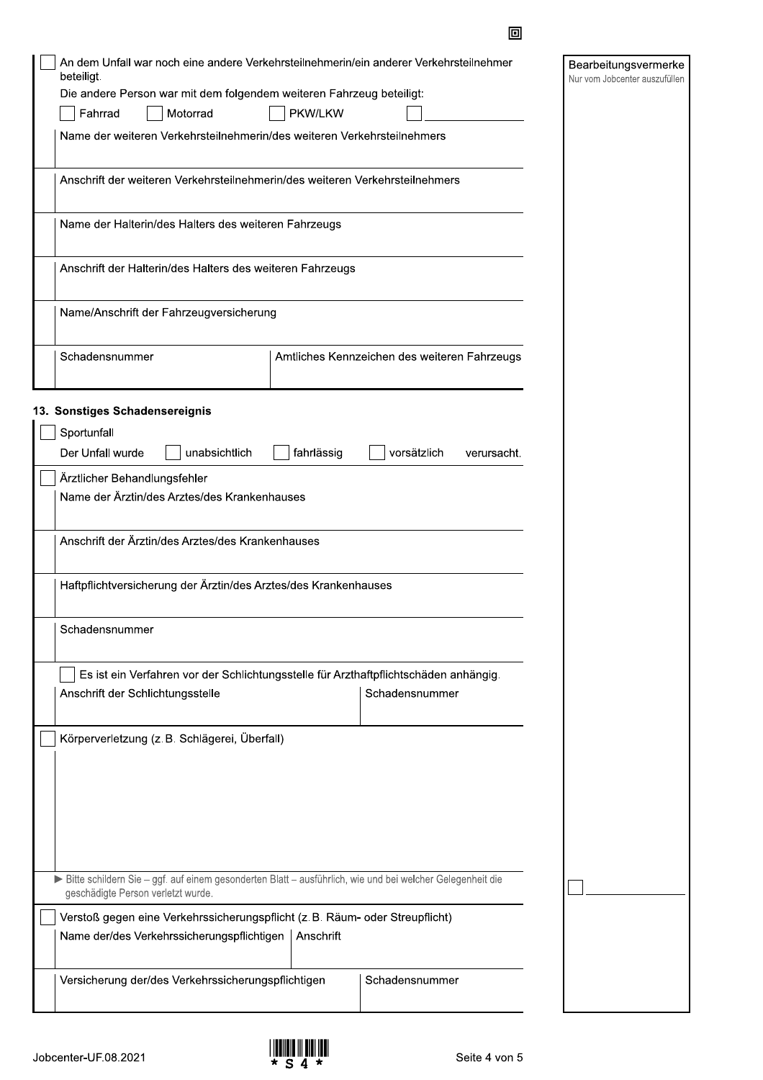| An dem Unfall war noch eine andere Verkehrsteilnehmerin/ein anderer Verkehrsteilnehmer<br>beteiligt.<br>Die andere Person war mit dem folgendem weiteren Fahrzeug beteiligt: |            |                                              |             | Bearbeitungsvermerke<br>Nur vom Jobcenter auszufüllen |
|------------------------------------------------------------------------------------------------------------------------------------------------------------------------------|------------|----------------------------------------------|-------------|-------------------------------------------------------|
| Motorrad<br>Fahrrad                                                                                                                                                          |            |                                              |             |                                                       |
| Name der weiteren Verkehrsteilnehmerin/des weiteren Verkehrsteilnehmers                                                                                                      |            |                                              |             |                                                       |
| Anschrift der weiteren Verkehrsteilnehmerin/des weiteren Verkehrsteilnehmers                                                                                                 |            |                                              |             |                                                       |
| Name der Halterin/des Halters des weiteren Fahrzeugs                                                                                                                         |            |                                              |             |                                                       |
| Anschrift der Halterin/des Halters des weiteren Fahrzeugs                                                                                                                    |            |                                              |             |                                                       |
| Name/Anschrift der Fahrzeugversicherung                                                                                                                                      |            |                                              |             |                                                       |
| Schadensnummer                                                                                                                                                               |            | Amtliches Kennzeichen des weiteren Fahrzeugs |             |                                                       |
| 13. Sonstiges Schadensereignis                                                                                                                                               |            |                                              |             |                                                       |
| Sportunfall                                                                                                                                                                  |            |                                              |             |                                                       |
| Der Unfall wurde<br>unabsichtlich                                                                                                                                            | fahrlässig | vorsätzlich                                  | verursacht. |                                                       |
| Ärztlicher Behandlungsfehler                                                                                                                                                 |            |                                              |             |                                                       |
| Name der Ärztin/des Arztes/des Krankenhauses                                                                                                                                 |            |                                              |             |                                                       |
| Anschrift der Ärztin/des Arztes/des Krankenhauses                                                                                                                            |            |                                              |             |                                                       |
| Haftpflichtversicherung der Ärztin/des Arztes/des Krankenhauses                                                                                                              |            |                                              |             |                                                       |
| Schadensnummer                                                                                                                                                               |            |                                              |             |                                                       |
| Es ist ein Verfahren vor der Schlichtungsstelle für Arzthaftpflichtschäden anhängig.<br>Anschrift der Schlichtungsstelle                                                     |            | Schadensnummer                               |             |                                                       |
| Körperverletzung (z. B. Schlägerei, Überfall)                                                                                                                                |            |                                              |             |                                                       |
|                                                                                                                                                                              |            |                                              |             |                                                       |
|                                                                                                                                                                              |            |                                              |             |                                                       |
|                                                                                                                                                                              |            |                                              |             |                                                       |
| Bitte schildern Sie - ggf. auf einem gesonderten Blatt - ausführlich, wie und bei welcher Gelegenheit die<br>geschädigte Person verletzt wurde.                              |            |                                              |             |                                                       |
| Verstoß gegen eine Verkehrssicherungspflicht (z. B. Räum- oder Streupflicht)                                                                                                 |            |                                              |             |                                                       |
| Name der/des Verkehrssicherungspflichtigen   Anschrift                                                                                                                       |            |                                              |             |                                                       |
| Versicherung der/des Verkehrssicherungspflichtigen                                                                                                                           |            | Schadensnummer                               |             |                                                       |